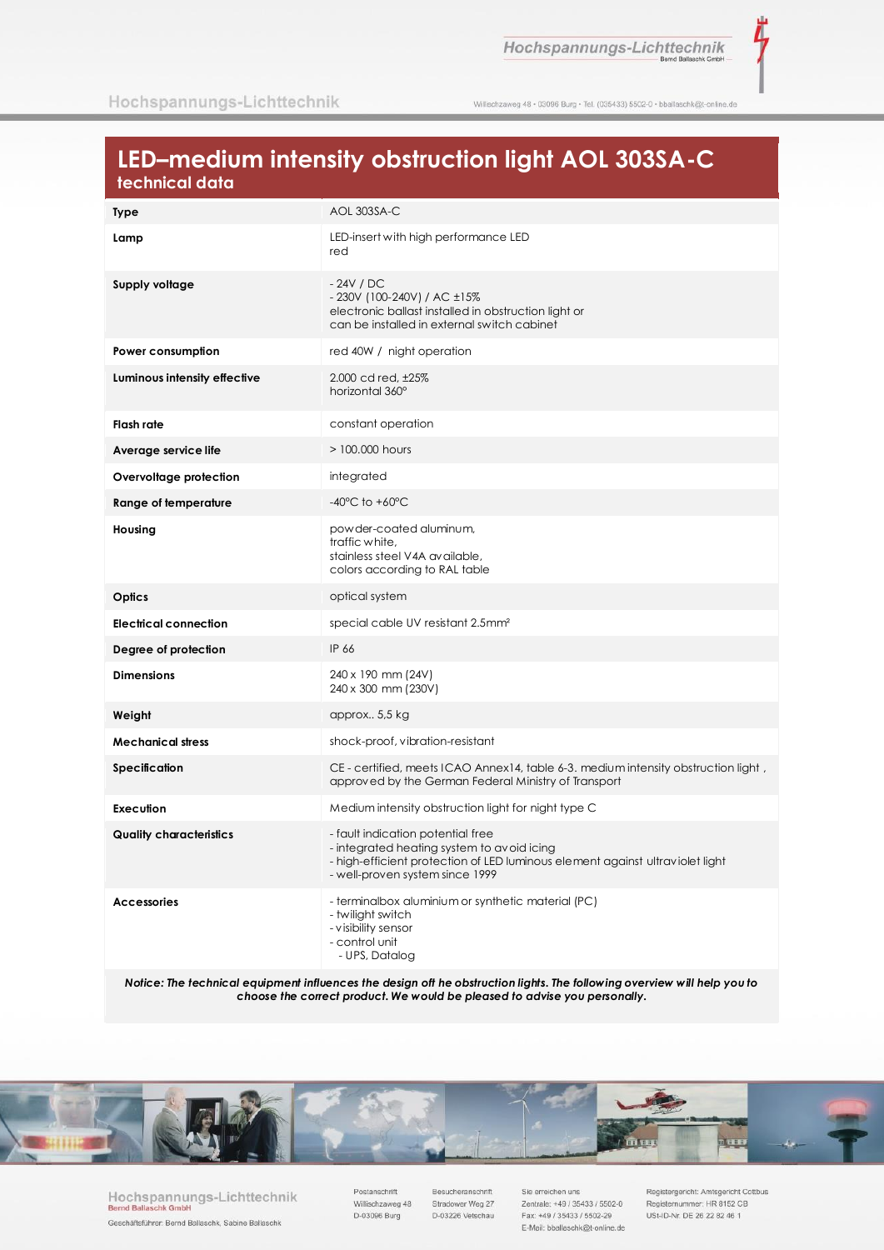ť

Willischzaweg 48 · 03096 Burg · Tel. (035433) 5502-0 · bballaschk@t-online.de

# LED-medium intensity obstruction light AOL 303SA-C technical data

| Type                           | AOL 303SA-C                                                                                                                                                                                         |
|--------------------------------|-----------------------------------------------------------------------------------------------------------------------------------------------------------------------------------------------------|
| Lamp                           | LED-insert with high performance LED<br>red                                                                                                                                                         |
| Supply voltage                 | $-24V / DC$<br>- 230V (100-240V) / AC ±15%<br>electronic ballast installed in obstruction light or<br>can be installed in external switch cabinet                                                   |
| Power consumption              | red 40W / night operation                                                                                                                                                                           |
| Luminous intensity effective   | 2.000 cd red, ±25%<br>horizontal 360°                                                                                                                                                               |
| Flash rate                     | constant operation                                                                                                                                                                                  |
| Average service life           | $> 100,000$ hours                                                                                                                                                                                   |
| Overvoltage protection         | integrated                                                                                                                                                                                          |
| <b>Range of temperature</b>    | $-40^{\circ}$ C to $+60^{\circ}$ C                                                                                                                                                                  |
| Housing                        | powder-coated aluminum,<br>traffic white,<br>stainless steel V4A available,<br>colors according to RAL table                                                                                        |
| Optics                         | optical system                                                                                                                                                                                      |
| <b>Electrical connection</b>   | special cable UV resistant 2.5mm <sup>2</sup>                                                                                                                                                       |
| Degree of protection           | IP 66                                                                                                                                                                                               |
| <b>Dimensions</b>              | 240 x 190 mm (24V)<br>240 x 300 mm (230V)                                                                                                                                                           |
| Weight                         | approx 5,5 kg                                                                                                                                                                                       |
| <b>Mechanical stress</b>       | shock-proof, vibration-resistant                                                                                                                                                                    |
| Specification                  | CE - certified, meets ICAO Annex14, table 6-3. medium intensity obstruction light,<br>approved by the German Federal Ministry of Transport                                                          |
| Execution                      | Medium intensity obstruction light for night type C                                                                                                                                                 |
| <b>Quality characteristics</b> | - fault indication potential free<br>- integrated heating system to avoid icing<br>- high-efficient protection of LED luminous element against ultraviolet light<br>- well-proven system since 1999 |
| <b>Accessories</b>             | - terminalbox aluminium or synthetic material (PC)<br>- twilight switch<br>- visibility sensor<br>- control unit<br>- UPS, Datalog                                                                  |

Notice: The technical equipment influences the design oft he obstruction lights. The following overview will help you to choose the correct product. We would be pleased to advise you personally.



Hochspannungs-Lichttechnik Bernd Ballaschk Gmbl Geschäftsführer: Bernd Ballaschk, Sabine Ballaschk

Postanschrift Willischzaweg 48 D-03096 Burg

Besucheranschrift Stradower Weg 27 D-03226 Vetschau

Sie erreichen uns Zentrale: +49 / 35433 / 5502-0 Fax: +49 / 35433 / 5502-29 E-Mail: bballaschk@t-online.de

Registergericht: Amtsgericht Cottbus Registernummer: HR 8152 CB USt-ID-Nr. DE 26 22 82 46 1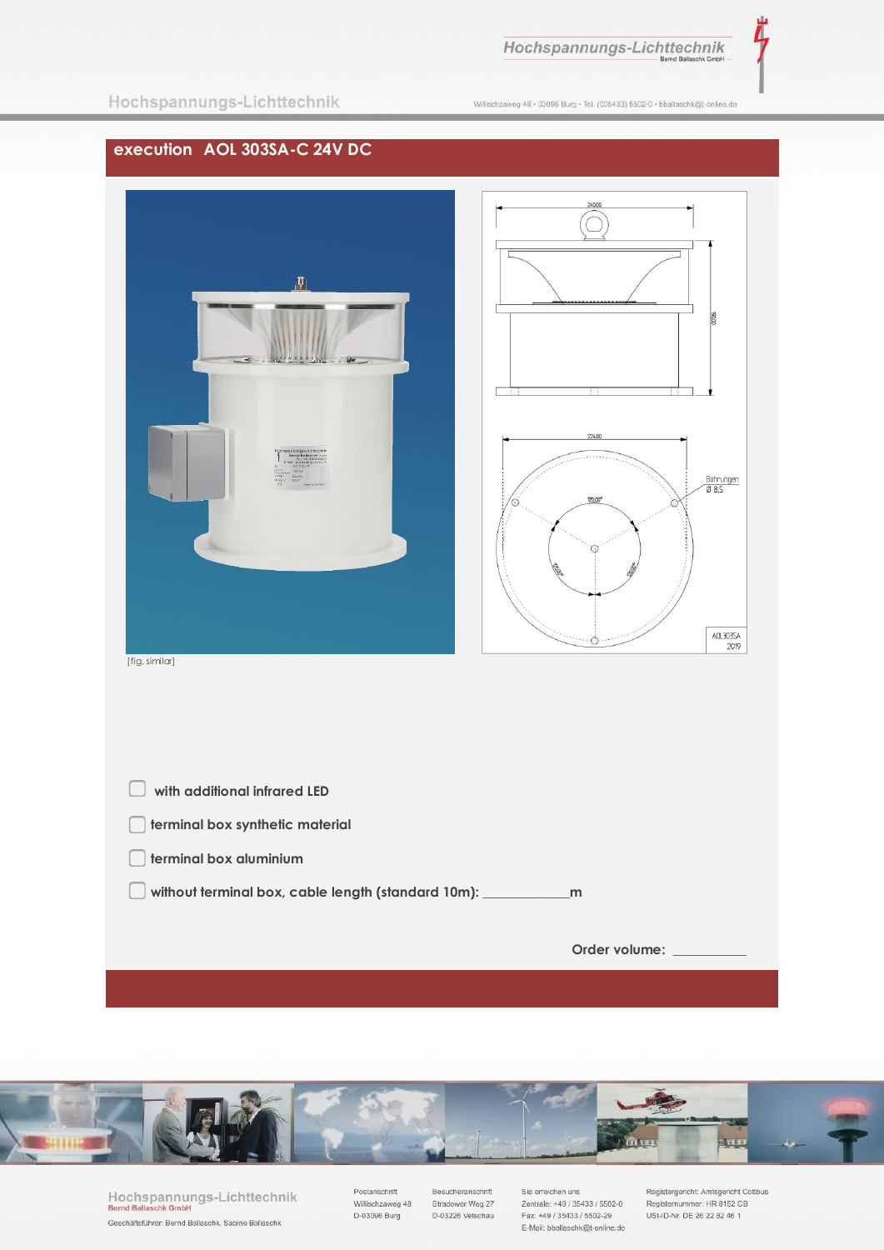Λ

Willischzaweg 48 · 03096 Burg · Tel. (035433) 5502-0 · bballaschk@t-online.de

## **execution AOL 303SA-C 24V DC**





[fig. similar]

| with additional infrared LED                           |               |
|--------------------------------------------------------|---------------|
| terminal box synthetic material                        |               |
| terminal box aluminium                                 |               |
| without terminal box, cable length (standard 10m): ___ | m             |
|                                                        |               |
|                                                        | Order volume: |
|                                                        |               |



Hochspannungs-Lichttechnik<br>Bernd Ballaschk GmbH Geschäftsführer: Bernd Ballaschk, Sabine Ballaschk

Postanschrift Villischzaweg 48<br>D-03096 Burg Besucheranschrift Stradower Weg 27 D-03226 Vetschau

Sie erreichen uns Zentrale: +49 / 35433 / 5502-0 Fax: +49 / 35433 / 5502-29 E-Mail: bballaschk@t-online.de Registergericht: Amtsgericht Cottbus<br>Registernummer: HR 8152 CB<br>USt-ID-Nr. DE 26 22 82 46 1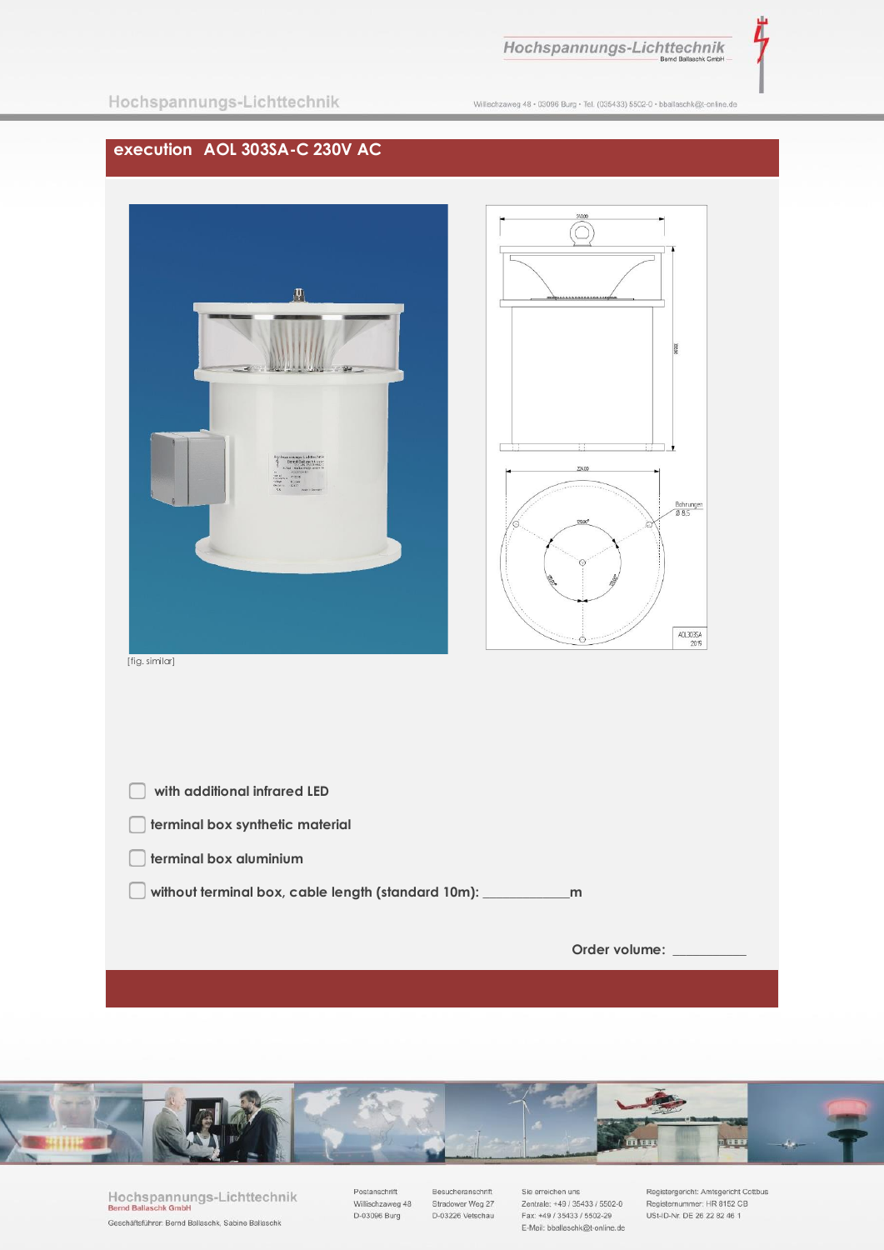Λ

Hochspannungs-Lichttechnik

Willischzaweg 48 · 03096 Burg · Tel. (035433) 5502-0 · bballaschk@t-online.de

## **execution AOL 303SA-C 230V AC**





[fig. similar]

| with additional infrared LED                       |               |
|----------------------------------------------------|---------------|
| terminal box synthetic material                    |               |
| terminal box aluminium                             |               |
| without terminal box, cable length (standard 10m): | m             |
|                                                    |               |
|                                                    | Order volume: |
|                                                    |               |



Hochspannungs-Lichttechnik<br>Bernd Ballaschk GmbH Geschäftsführer: Bernd Ballaschk, Sabine Ballaschk

Postanschrift Villischzaweg 48<br>D-03096 Burg Besucheranschrift Stradower Weg 27 D-03226 Vetschau

Sie erreichen uns Zentrale: +49 / 35433 / 5502-0 Fax: +49 / 35433 / 5502-29 E-Mail: bballaschk@t-online.de Registergericht: Amtsgericht Cottbus<br>Registernummer: HR 8152 CB<br>USt-ID-Nr. DE 26 22 82 46 1